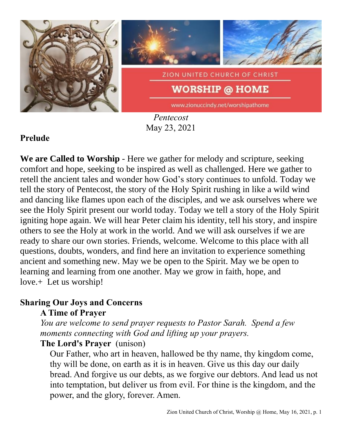

*Pentecost* May 23, 2021

## **Prelude**

**We are Called to Worship** - Here we gather for melody and scripture, seeking comfort and hope, seeking to be inspired as well as challenged. Here we gather to retell the ancient tales and wonder how God's story continues to unfold. Today we tell the story of Pentecost, the story of the Holy Spirit rushing in like a wild wind and dancing like flames upon each of the disciples, and we ask ourselves where we see the Holy Spirit present our world today. Today we tell a story of the Holy Spirit igniting hope again. We will hear Peter claim his identity, tell his story, and inspire others to see the Holy at work in the world. And we will ask ourselves if we are ready to share our own stories. Friends, welcome. Welcome to this place with all questions, doubts, wonders, and find here an invitation to experience something ancient and something new. May we be open to the Spirit. May we be open to learning and learning from one another. May we grow in faith, hope, and love.+ Let us worship!

### **Sharing Our Joys and Concerns A Time of Prayer**

*You are welcome to send prayer requests to Pastor Sarah. Spend a few moments connecting with God and lifting up your prayers.*

### **The Lord's Prayer** (unison)

Our Father, who art in heaven, hallowed be thy name, thy kingdom come, thy will be done, on earth as it is in heaven. Give us this day our daily bread. And forgive us our debts, as we forgive our debtors. And lead us not into temptation, but deliver us from evil. For thine is the kingdom, and the power, and the glory, forever. Amen.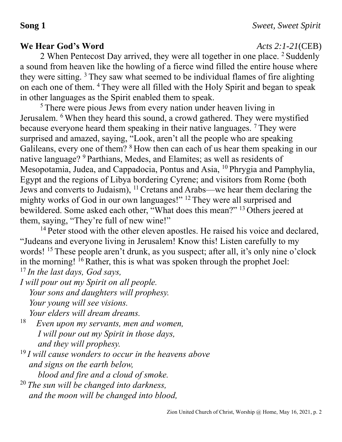# **We Hear God's Word** *Acts 2:1-21*(CEB)

2 When Pentecost Day arrived, they were all together in one place. <sup>2</sup> Suddenly a sound from heaven like the howling of a fierce wind filled the entire house where they were sitting. <sup>3</sup> They saw what seemed to be individual flames of fire alighting on each one of them. <sup>4</sup> They were all filled with the Holy Spirit and began to speak in other languages as the Spirit enabled them to speak.

<sup>5</sup> There were pious Jews from every nation under heaven living in Jerusalem. <sup>6</sup> When they heard this sound, a crowd gathered. They were mystified because everyone heard them speaking in their native languages. <sup>7</sup> They were surprised and amazed, saying, "Look, aren't all the people who are speaking Galileans, every one of them? <sup>8</sup> How then can each of us hear them speaking in our native language? <sup>9</sup> Parthians, Medes, and Elamites; as well as residents of Mesopotamia, Judea, and Cappadocia, Pontus and Asia, <sup>10</sup> Phrygia and Pamphylia, Egypt and the regions of Libya bordering Cyrene; and visitors from Rome (both Jews and converts to Judaism), <sup>11</sup>Cretans and Arabs—we hear them declaring the mighty works of God in our own languages!" <sup>12</sup> They were all surprised and bewildered. Some asked each other, "What does this mean?" <sup>13</sup> Others jeered at them, saying, "They're full of new wine!"

<sup>14</sup> Peter stood with the other eleven apostles. He raised his voice and declared, "Judeans and everyone living in Jerusalem! Know this! Listen carefully to my words! <sup>15</sup> These people aren't drunk, as you suspect; after all, it's only nine o'clock in the morning!  $^{16}$  Rather, this is what was spoken through the prophet Joel: <sup>17</sup> *In the last days, God says,*

*I will pour out my Spirit on all people. Your sons and daughters will prophesy. Your young will see visions. Your elders will dream dreams.*

18 *Even upon my servants, men and women, I will pour out my Spirit in those days, and they will prophesy.*

<sup>19</sup> *I will cause wonders to occur in the heavens above and signs on the earth below, blood and fire and a cloud of smoke.*

<sup>20</sup> *The sun will be changed into darkness, and the moon will be changed into blood,*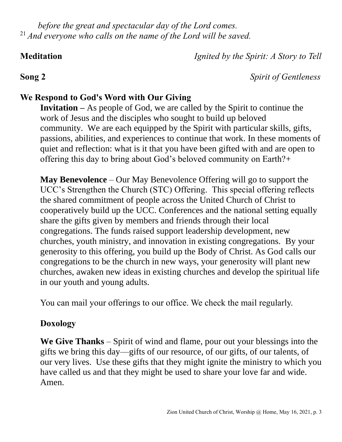*before the great and spectacular day of the Lord comes.* <sup>21</sup> *And everyone who calls on the name of the Lord will be saved.*

**Meditation** *Ignited by the Spirit: A Story to Tell*

**Song 2** *Spirit of Gentleness*

# **We Respond to God's Word with Our Giving**

**Invitation –** As people of God, we are called by the Spirit to continue the work of Jesus and the disciples who sought to build up beloved community. We are each equipped by the Spirit with particular skills, gifts, passions, abilities, and experiences to continue that work. In these moments of quiet and reflection: what is it that you have been gifted with and are open to offering this day to bring about God's beloved community on Earth?+

**May Benevolence** – Our May Benevolence Offering will go to support the UCC's Strengthen the Church (STC) Offering. This special offering reflects the shared commitment of people across the United Church of Christ to cooperatively build up the UCC. Conferences and the national setting equally share the gifts given by members and friends through their local congregations. The funds raised support leadership development, new churches, youth ministry, and innovation in existing congregations. By your generosity to this offering, you build up the Body of Christ. As God calls our congregations to be the church in new ways, your generosity will plant new churches, awaken new ideas in existing churches and develop the spiritual life in our youth and young adults.

You can mail your offerings to our office. We check the mail regularly.

## **Doxology**

**We Give Thanks** – Spirit of wind and flame, pour out your blessings into the gifts we bring this day—gifts of our resource, of our gifts, of our talents, of our very lives. Use these gifts that they might ignite the ministry to which you have called us and that they might be used to share your love far and wide. Amen.